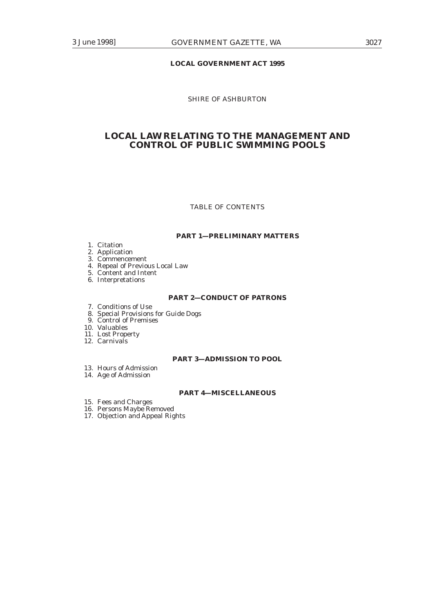# **LOCAL GOVERNMENT ACT 1995**

# SHIRE OF ASHBURTON

# **LOCAL LAW RELATING TO THE MANAGEMENT AND CONTROL OF PUBLIC SWIMMING POOLS**

# TABLE OF CONTENTS

## **PART 1—PRELIMINARY MATTERS**

1. Citation

2. Application

3. Commencement

- 4. Repeal of Previous Local Law
- 5. Content and Intent
- 6. Interpretations

### **PART 2—CONDUCT OF PATRONS**

7. Conditions of Use

- 8. Special Provisions for Guide Dogs
- 9. Control of Premises

10. Valuables

- 11. Lost Property
- 12. Carnivals

## **PART 3—ADMISSION TO POOL**

- 13. Hours of Admission
- 14. Age of Admission

### **PART 4—MISCELLANEOUS**

- 15. Fees and Charges
- 16. Persons Maybe Removed
- 17. Objection and Appeal Rights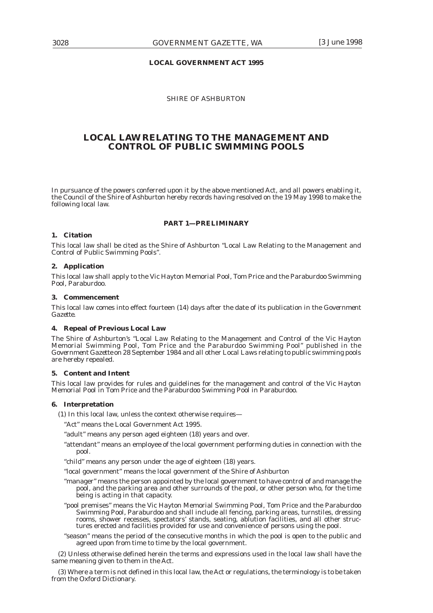### **LOCAL GOVERNMENT ACT 1995**

### SHIRE OF ASHBURTON

# **LOCAL LAW RELATING TO THE MANAGEMENT AND CONTROL OF PUBLIC SWIMMING POOLS**

In pursuance of the powers conferred upon it by the above mentioned Act, and all powers enabling it, the Council of the Shire of Ashburton hereby records having resolved on the 19 May 1998 to make the following local law.

#### **PART 1—PRELIMINARY**

## **1. Citation**

This local law shall be cited as the Shire of Ashburton "Local Law Relating to the Management and Control of Public Swimming Pools".

#### **2. Application**

This local law shall apply to the Vic Hayton Memorial Pool, Tom Price and the Paraburdoo Swimming Pool, Paraburdoo.

### **3. Commencement**

This local law comes into effect fourteen (14) days after the date of its publication in the *Government Gazette.*

#### **4. Repeal of Previous Local Law**

The Shire of Ashburton's "Local Law Relating to the Management and Control of the Vic Hayton Memorial Swimming Pool, Tom Price and the Paraburdoo Swimming Pool" published in the *Government Gazette* on 28 September 1984 and all other Local Laws relating to public swimming pools are hereby repealed.

#### **5. Content and Intent**

This local law provides for rules and guidelines for the management and control of the Vic Hayton Memorial Pool in Tom Price and the Paraburdoo Swimming Pool in Paraburdoo.

#### **6. Interpretation**

(1) In this local law, unless the context otherwise requires—

"Act" means the Local Government Act 1995.

"adult" means any person aged eighteen (18) years and over.

- "attendant" means an employee of the local government performing duties in connection with the pool.
- "child" means any person under the age of eighteen (18) years.

"local government" means the local government of the Shire of Ashburton

- "manager" means the person appointed by the local government to have control of and manage the pool, and the parking area and other surrounds of the pool, or other person who, for the time being is acting in that capacity.
- "pool premises" means the Vic Hayton Memorial Swimming Pool, Tom Price and the Paraburdoo Swimming Pool, Paraburdoo and shall include all fencing, parking areas, turnstiles, dressing rooms, shower recesses, spectators' stands, seating, ablution facilities, and all other structures erected and facilities provided for use and convenience of persons using the pool.
- "season" means the period of the consecutive months in which the pool is open to the public and agreed upon from time to time by the local government.

(2) Unless otherwise defined herein the terms and expressions used in the local law shall have the same meaning given to them in the Act.

(3) Where a term is not defined in this local law, the Act or regulations, the terminology is to be taken from the Oxford Dictionary.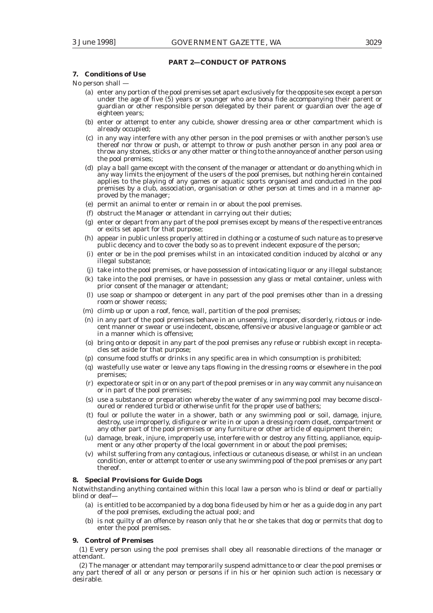### **PART 2—CONDUCT OF PATRONS**

# **7. Conditions of Use**

No person shall —

- (a) enter any portion of the pool premises set apart exclusively for the opposite sex except a person under the age of five (5) years or younger who are bona fide accompanying their parent or guardian or other responsible person delegated by their parent or guardian over the age of eighteen years;
- (b) enter or attempt to enter any cubicle, shower dressing area or other compartment which is already occupied;
- (c) in any way interfere with any other person in the pool premises or with another person's use thereof nor throw or push, or attempt to throw or push another person in any pool area or throw any stones, sticks or any other matter or thing to the annoyance of another person using the pool premises;
- (d) play a ball game except with the consent of the manager or attendant or do anything which in any way limits the enjoyment of the users of the pool premises, but nothing herein contained applies to the playing of any games or aquatic sports organised and conducted in the pool premises by a club, association, organisation or other person at times and in a manner approved by the manager;
- (e) permit an animal to enter or remain in or about the pool premises.
- (f) obstruct the Manager or attendant in carrying out their duties;
- (g) enter or depart from any part of the pool premises except by means of the respective entrances or exits set apart for that purpose;
- (h) appear in public unless properly attired in clothing or a costume of such nature as to preserve public decency and to cover the body so as to prevent indecent exposure of the person;
- (i) enter or be in the pool premises whilst in an intoxicated condition induced by alcohol or any illegal substance;
- (j) take into the pool premises, or have possession of intoxicating liquor or any illegal substance;
- (k) take into the pool premises, or have in possession any glass or metal container, unless with prior consent of the manager or attendant;
- (l) use soap or shampoo or detergent in any part of the pool premises other than in a dressing room or shower recess;
- (m) climb up or upon a roof, fence, wall, partition of the pool premises;
- (n) in any part of the pool premises behave in an unseemly, improper, disorderly, riotous or indecent manner or swear or use indecent, obscene, offensive or abusive language or gamble or act in a manner which is offensive;
- (o) bring onto or deposit in any part of the pool premises any refuse or rubbish except in receptacles set aside for that purpose;
- (p) consume food stuffs or drinks in any specific area in which consumption is prohibited;
- (q) wastefully use water or leave any taps flowing in the dressing rooms or elsewhere in the pool premises;
- (r) expectorate or spit in or on any part of the pool premises or in any way commit any nuisance on or in part of the pool premises;
- (s) use a substance or preparation whereby the water of any swimming pool may become discoloured or rendered turbid or otherwise unfit for the proper use of bathers;
- (t) foul or pollute the water in a shower, bath or any swimming pool or soil, damage, injure, destroy, use improperly, disfigure or write in or upon a dressing room closet, compartment or any other part of the pool premises or any furniture or other article of equipment therein;
- (u) damage, break, injure, improperly use, interfere with or destroy any fitting, appliance, equipment or any other property of the local government in or about the pool premises;
- (v) whilst suffering from any contagious, infectious or cutaneous disease, or whilst in an unclean condition, enter or attempt to enter or use any swimming pool of the pool premises or any part thereof.

### **8. Special Provisions for Guide Dogs**

Notwithstanding anything contained within this local law a person who is blind or deaf or partially blind or deaf-

- (a) is entitled to be accompanied by a dog *bona fide* used by him or her as a guide dog in any part of the pool premises, excluding the actual pool; and
- (b) is not guilty of an offence by reason only that he or she takes that dog or permits that dog to enter the pool premises.

### **9. Control of Premises**

(1) Every person using the pool premises shall obey all reasonable directions of the manager or attendant.

(2) The manager or attendant may temporarily suspend admittance to or clear the pool premises or any part thereof of all or any person or persons if in his or her opinion such action is necessary or desirable.